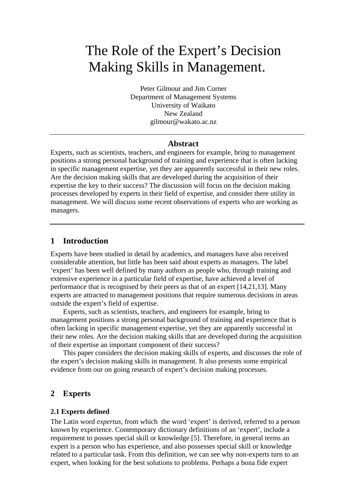# The Role of the Expert's Decision Making Skills in Management.

Peter Gilmour and Jim Corner Department of Management Systems University of Waikato New Zealand gilmour@wakato.ac.nz

## **Abstract**

Experts, such as scientists, teachers, and engineers for example, bring to management positions a strong personal background of training and experience that is often lacking in specific management expertise, yet they are apparently successful in their new roles. Are the decision making skills that are developed during the acquisition of their expertise the key to their success? The discussion will focus on the decision making processes developed by experts in their field of expertise, and consider there utility in management. We will discuss some recent observations of experts who are working as managers.

## **1 Introduction**

Experts have been studied in detail by academics, and managers have also received considerable attention, but little has been said about experts as managers. The label 'expert' has been well defined by many authors as people who, through training and extensive experience in a particular field of expertise, have achieved a level of performance that is recognised by their peers as that of an expert [14,21,13]. Many experts are attracted to management positions that require numerous decisions in areas outside the expert's field of expertise.

Experts, such as scientists, teachers, and engineers for example, bring to management positions a strong personal background of training and experience that is often lacking in specific management expertise, yet they are apparently successful in their new roles. Are the decision making skills that are developed during the acquisition of their expertise an important component of their success?

This paper considers the decision making skills of experts, and discusses the role of the expert's decision making skills in management. It also presents some empirical evidence from our on going research of expert's decision making processes.

## **2 Experts**

### **2.1 Experts defined**

The Latin word *expertus*, from which the word 'expert' is derived, referred to a person known by experience. Contemporary dictionary definitions of an 'expert', include a requirement to posses special skill or knowledge [5]. Therefore, in general terms an expert is a person who has experience, and also possesses special skill or knowledge related to a particular task. From this definition, we can see why non-experts turn to an expert, when looking for the best solutions to problems. Perhaps a bona fide expert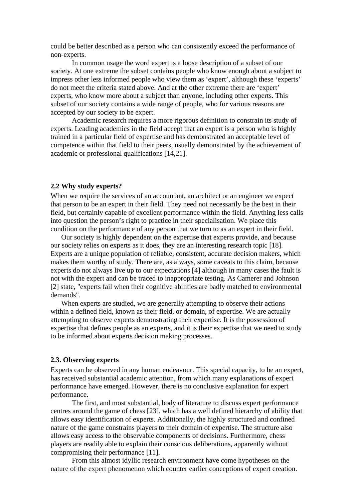could be better described as a person who can consistently exceed the performance of non-experts.

In common usage the word expert is a loose description of a subset of our society. At one extreme the subset contains people who know enough about a subject to impress other less informed people who view them as 'expert', although these 'experts' do not meet the criteria stated above. And at the other extreme there are 'expert' experts, who know more about a subject than anyone, including other experts. This subset of our society contains a wide range of people, who for various reasons are accepted by our society to be expert.

Academic research requires a more rigorous definition to constrain its study of experts. Leading academics in the field accept that an expert is a person who is highly trained in a particular field of expertise and has demonstrated an acceptable level of competence within that field to their peers, usually demonstrated by the achievement of academic or professional qualifications [14,21].

#### **2.2 Why study experts?**

When we require the services of an accountant, an architect or an engineer we expect that person to be an expert in their field. They need not necessarily be the best in their field, but certainly capable of excellent performance within the field. Anything less calls into question the person's right to practice in their specialisation. We place this condition on the performance of any person that we turn to as an expert in their field.

Our society is highly dependent on the expertise that experts provide, and because our society relies on experts as it does, they are an interesting research topic [18]. Experts are a unique population of reliable, consistent, accurate decision makers, which makes them worthy of study. There are, as always, some caveats to this claim, because experts do not always live up to our expectations [4] although in many cases the fault is not with the expert and can be traced to inappropriate testing. As Camerer and Johnson [2] state, "experts fail when their cognitive abilities are badly matched to environmental demands".

When experts are studied, we are generally attempting to observe their actions within a defined field, known as their field, or domain, of expertise. We are actually attempting to observe experts demonstrating their expertise. It is the possession of expertise that defines people as an experts, and it is their expertise that we need to study to be informed about experts decision making processes.

#### **2.3. Observing experts**

Experts can be observed in any human endeavour. This special capacity, to be an expert, has received substantial academic attention, from which many explanations of expert performance have emerged. However, there is no conclusive explanation for expert performance.

The first, and most substantial, body of literature to discuss expert performance centres around the game of chess [23], which has a well defined hierarchy of ability that allows easy identification of experts. Additionally, the highly structured and confined nature of the game constrains players to their domain of expertise. The structure also allows easy access to the observable components of decisions. Furthermore, chess players are readily able to explain their conscious deliberations, apparently without compromising their performance [11].

From this almost idyllic research environment have come hypotheses on the nature of the expert phenomenon which counter earlier conceptions of expert creation.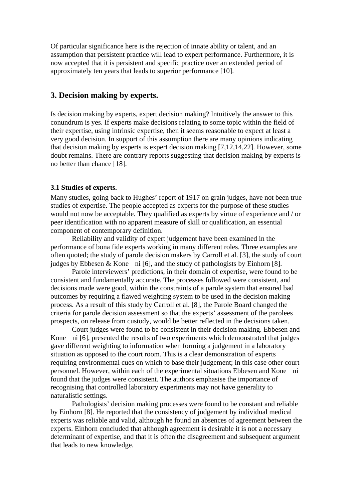Of particular significance here is the rejection of innate ability or talent, and an assumption that persistent practice will lead to expert performance. Furthermore, it is now accepted that it is persistent and specific practice over an extended period of approximately ten years that leads to superior performance [10].

# **3. Decision making by experts.**

Is decision making by experts, expert decision making? Intuitively the answer to this conundrum is yes. If experts make decisions relating to some topic within the field of their expertise, using intrinsic expertise, then it seems reasonable to expect at least a very good decision. In support of this assumption there are many opinions indicating that decision making by experts is expert decision making [7,12,14,22]. However, some doubt remains. There are contrary reports suggesting that decision making by experts is no better than chance [18].

### **3.1 Studies of experts.**

Many studies, going back to Hughes' report of 1917 on grain judges, have not been true studies of expertise. The people accepted as experts for the purpose of these studies would not now be acceptable. They qualified as experts by virtue of experience and / or peer identification with no apparent measure of skill or qualification, an essential component of contemporary definition.

Reliability and validity of expert judgement have been examined in the performance of bona fide experts working in many different roles. Three examples are often quoted; the study of parole decision makers by Carroll et al. [3], the study of court judges by Ebbesen & Kone ni [6], and the study of pathologists by Einhorn [8].

Parole interviewers' predictions, in their domain of expertise, were found to be consistent and fundamentally accurate. The processes followed were consistent, and decisions made were good, within the constraints of a parole system that ensured bad outcomes by requiring a flawed weighting system to be used in the decision making process. As a result of this study by Carroll et al. [8], the Parole Board changed the criteria for parole decision assessment so that the experts' assessment of the parolees prospects, on release from custody, would be better reflected in the decisions taken.

Court judges were found to be consistent in their decision making. Ebbesen and Kone ni [6], presented the results of two experiments which demonstrated that judges gave different weighting to information when forming a judgement in a laboratory situation as opposed to the court room. This is a clear demonstration of experts requiring environmental cues on which to base their judgement; in this case other court personnel. However, within each of the experimental situations Ebbesen and Kone ni found that the judges were consistent. The authors emphasise the importance of recognising that controlled laboratory experiments may not have generality to naturalistic settings.

Pathologists' decision making processes were found to be constant and reliable by Einhorn [8]. He reported that the consistency of judgement by individual medical experts was reliable and valid, although he found an absences of agreement between the experts. Einhorn concluded that although agreement is desirable it is not a necessary determinant of expertise, and that it is often the disagreement and subsequent argument that leads to new knowledge.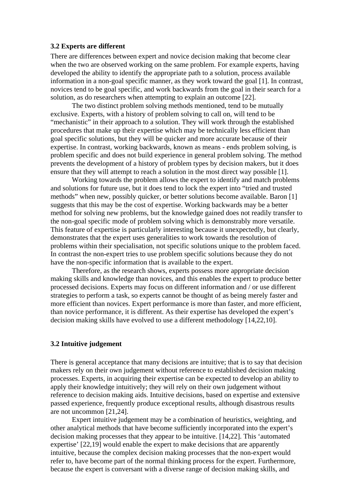### **3.2 Experts are different**

There are differences between expert and novice decision making that become clear when the two are observed working on the same problem. For example experts, having developed the ability to identify the appropriate path to a solution, process available information in a non-goal specific manner, as they work toward the goal [1]. In contrast, novices tend to be goal specific, and work backwards from the goal in their search for a solution, as do researchers when attempting to explain an outcome [22].

The two distinct problem solving methods mentioned, tend to be mutually exclusive. Experts, with a history of problem solving to call on, will tend to be "mechanistic" in their approach to a solution. They will work through the established procedures that make up their expertise which may be technically less efficient than goal specific solutions, but they will be quicker and more accurate because of their expertise. In contrast, working backwards, known as means - ends problem solving, is problem specific and does not build experience in general problem solving. The method prevents the development of a history of problem types by decision makers, but it does ensure that they will attempt to reach a solution in the most direct way possible [1].

Working towards the problem allows the expert to identify and match problems and solutions for future use, but it does tend to lock the expert into "tried and trusted methods" when new, possibly quicker, or better solutions become available. Baron [1] suggests that this may be the cost of expertise. Working backwards may be a better method for solving new problems, but the knowledge gained does not readily transfer to the non-goal specific mode of problem solving which is demonstrably more versatile. This feature of expertise is particularly interesting because it unexpectedly, but clearly, demonstrates that the expert uses generalities to work towards the resolution of problems within their specialisation, not specific solutions unique to the problem faced. In contrast the non-expert tries to use problem specific solutions because they do not have the non-specific information that is available to the expert.

Therefore, as the research shows, experts possess more appropriate decision making skills and knowledge than novices, and this enables the expert to produce better processed decisions. Experts may focus on different information and / or use different strategies to perform a task, so experts cannot be thought of as being merely faster and more efficient than novices. Expert performance is more than faster, and more efficient, than novice performance, it is different. As their expertise has developed the expert's decision making skills have evolved to use a different methodology [14,22,10].

#### **3.2 Intuitive judgement**

There is general acceptance that many decisions are intuitive; that is to say that decision makers rely on their own judgement without reference to established decision making processes. Experts, in acquiring their expertise can be expected to develop an ability to apply their knowledge intuitively; they will rely on their own judgement without reference to decision making aids. Intuitive decisions, based on expertise and extensive passed experience, frequently produce exceptional results, although disastrous results are not uncommon [21,24].

Expert intuitive judgement may be a combination of heuristics, weighting, and other analytical methods that have become sufficiently incorporated into the expert's decision making processes that they appear to be intuitive. [14,22]. This 'automated expertise' [22,19] would enable the expert to make decisions that are apparently intuitive, because the complex decision making processes that the non-expert would refer to, have become part of the normal thinking process for the expert. Furthermore, because the expert is conversant with a diverse range of decision making skills, and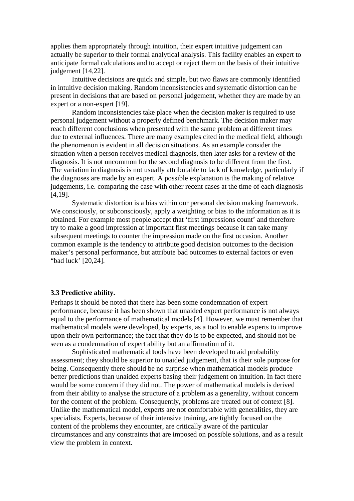applies them appropriately through intuition, their expert intuitive judgement can actually be superior to their formal analytical analysis. This facility enables an expert to anticipate formal calculations and to accept or reject them on the basis of their intuitive judgement [14,22].

Intuitive decisions are quick and simple, but two flaws are commonly identified in intuitive decision making. Random inconsistencies and systematic distortion can be present in decisions that are based on personal judgement, whether they are made by an expert or a non-expert [19].

Random inconsistencies take place when the decision maker is required to use personal judgement without a properly defined benchmark. The decision maker may reach different conclusions when presented with the same problem at different times due to external influences. There are many examples cited in the medical field, although the phenomenon is evident in all decision situations. As an example consider the situation when a person receives medical diagnosis, then later asks for a review of the diagnosis. It is not uncommon for the second diagnosis to be different from the first. The variation in diagnosis is not usually attributable to lack of knowledge, particularly if the diagnoses are made by an expert. A possible explanation is the making of relative judgements, i.e. comparing the case with other recent cases at the time of each diagnosis [4,19].

Systematic distortion is a bias within our personal decision making framework. We consciously, or subconsciously, apply a weighting or bias to the information as it is obtained. For example most people accept that 'first impressions count' and therefore try to make a good impression at important first meetings because it can take many subsequent meetings to counter the impression made on the first occasion. Another common example is the tendency to attribute good decision outcomes to the decision maker's personal performance, but attribute bad outcomes to external factors or even "bad luck' [20,24].

#### **3.3 Predictive ability.**

Perhaps it should be noted that there has been some condemnation of expert performance, because it has been shown that unaided expert performance is not always equal to the performance of mathematical models [4]. However, we must remember that mathematical models were developed, by experts, as a tool to enable experts to improve upon their own performance; the fact that they do is to be expected, and should not be seen as a condemnation of expert ability but an affirmation of it.

Sophisticated mathematical tools have been developed to aid probability assessment; they should be superior to unaided judgement, that is their sole purpose for being. Consequently there should be no surprise when mathematical models produce better predictions than unaided experts basing their judgement on intuition. In fact there would be some concern if they did not. The power of mathematical models is derived from their ability to analyse the structure of a problem as a generality, without concern for the content of the problem. Consequently, problems are treated out of context [8]. Unlike the mathematical model, experts are not comfortable with generalities, they are specialists. Experts, because of their intensive training, are tightly focused on the content of the problems they encounter, are critically aware of the particular circumstances and any constraints that are imposed on possible solutions, and as a result view the problem in context.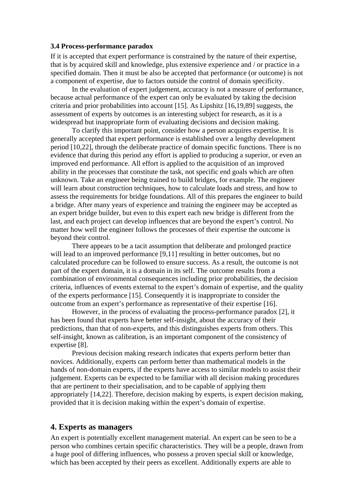### **3.4 Process-performance paradox**

If it is accepted that expert performance is constrained by the nature of their expertise, that is by acquired skill and knowledge, plus extensive experience and / or practice in a specified domain. Then it must be also be accepted that performance (or outcome) is not a component of expertise, due to factors outside the control of domain specificity.

In the evaluation of expert judgement, accuracy is not a measure of performance, because actual performance of the expert can only be evaluated by taking the decision criteria and prior probabilities into account [15]. As Lipshitz [16,19,89] suggests, the assessment of experts by outcomes is an interesting subject for research, as it is a widespread but inappropriate form of evaluating decisions and decision making.

To clarify this important point, consider how a person acquires expertise. It is generally accepted that expert performance is established over a lengthy development period [10,22], through the deliberate practice of domain specific functions. There is no evidence that during this period any effort is applied to producing a superior, or even an improved end performance. All effort is applied to the acquisition of an improved ability in the processes that constitute the task, not specific end goals which are often unknown. Take an engineer being trained to build bridges, for example. The engineer will learn about construction techniques, how to calculate loads and stress, and how to assess the requirements for bridge foundations. All of this prepares the engineer to build a bridge. After many years of experience and training the engineer may be accepted as an expert bridge builder, but even to this expert each new bridge is different from the last, and each project can develop influences that are beyond the expert's control. No matter how well the engineer follows the processes of their expertise the outcome is beyond their control.

There appears to be a tacit assumption that deliberate and prolonged practice will lead to an improved performance [9,11] resulting in better outcomes, but no calculated procedure can be followed to ensure success. As a result, the outcome is not part of the expert domain, it is a domain in its self. The outcome results from a combination of environmental consequences including prior probabilities, the decision criteria, influences of events external to the expert's domain of expertise, and the quality of the experts performance [15]. Consequently it is inappropriate to consider the outcome from an expert's performance as representative of their expertise [16].

However, in the process of evaluating the process-performance paradox [2], it has been found that experts have better self-insight, about the accuracy of their predictions, than that of non-experts, and this distinguishes experts from others. This self-insight, known as calibration, is an important component of the consistency of expertise [8].

Previous decision making research indicates that experts perform better than novices. Additionally, experts can perform better than mathematical models in the hands of non-domain experts, if the experts have access to similar models to assist their judgement. Experts can be expected to be familiar with all decision making procedures that are pertinent to their specialisation, and to be capable of applying them appropriately [14,22]. Therefore, decision making by experts, is expert decision making, provided that it is decision making within the expert's domain of expertise.

## **4. Experts as managers**

An expert is potentially excellent management material. An expert can be seen to be a person who combines certain specific characteristics. They will be a people, drawn from a huge pool of differing influences, who possess a proven special skill or knowledge, which has been accepted by their peers as excellent. Additionally experts are able to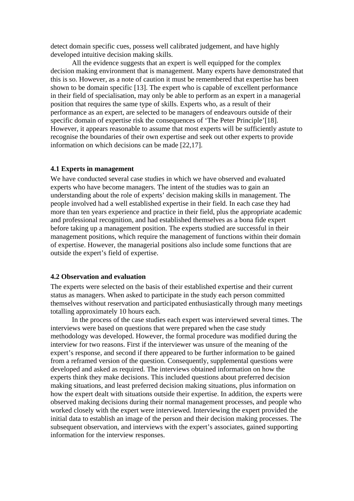detect domain specific cues, possess well calibrated judgement, and have highly developed intuitive decision making skills.

All the evidence suggests that an expert is well equipped for the complex decision making environment that is management. Many experts have demonstrated that this is so. However, as a note of caution it must be remembered that expertise has been shown to be domain specific [13]. The expert who is capable of excellent performance in their field of specialisation, may only be able to perform as an expert in a managerial position that requires the same type of skills. Experts who, as a result of their performance as an expert, are selected to be managers of endeavours outside of their specific domain of expertise risk the consequences of 'The Peter Principle'[18]. However, it appears reasonable to assume that most experts will be sufficiently astute to recognise the boundaries of their own expertise and seek out other experts to provide information on which decisions can be made [22,17].

#### **4.1 Experts in management**

We have conducted several case studies in which we have observed and evaluated experts who have become managers. The intent of the studies was to gain an understanding about the role of experts' decision making skills in management. The people involved had a well established expertise in their field. In each case they had more than ten years experience and practice in their field, plus the appropriate academic and professional recognition, and had established themselves as a bona fide expert before taking up a management position. The experts studied are successful in their management positions, which require the management of functions within their domain of expertise. However, the managerial positions also include some functions that are outside the expert's field of expertise.

#### **4.2 Observation and evaluation**

The experts were selected on the basis of their established expertise and their current status as managers. When asked to participate in the study each person committed themselves without reservation and participated enthusiastically through many meetings totalling approximately 10 hours each.

In the process of the case studies each expert was interviewed several times. The interviews were based on questions that were prepared when the case study methodology was developed. However, the formal procedure was modified during the interview for two reasons. First if the interviewer was unsure of the meaning of the expert's response, and second if there appeared to be further information to be gained from a reframed version of the question. Consequently, supplemental questions were developed and asked as required. The interviews obtained information on how the experts think they make decisions. This included questions about preferred decision making situations, and least preferred decision making situations, plus information on how the expert dealt with situations outside their expertise. In addition, the experts were observed making decisions during their normal management processes, and people who worked closely with the expert were interviewed. Interviewing the expert provided the initial data to establish an image of the person and their decision making processes. The subsequent observation, and interviews with the expert's associates, gained supporting information for the interview responses.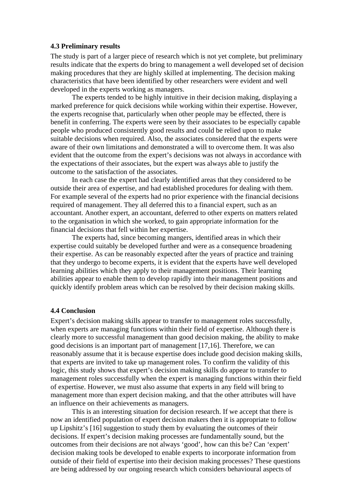#### **4.3 Preliminary results**

The study is part of a larger piece of research which is not yet complete, but preliminary results indicate that the experts do bring to management a well developed set of decision making procedures that they are highly skilled at implementing. The decision making characteristics that have been identified by other researchers were evident and well developed in the experts working as managers.

The experts tended to be highly intuitive in their decision making, displaying a marked preference for quick decisions while working within their expertise. However, the experts recognise that, particularly when other people may be effected, there is benefit in conferring. The experts were seen by their associates to be especially capable people who produced consistently good results and could be relied upon to make suitable decisions when required. Also, the associates considered that the experts were aware of their own limitations and demonstrated a will to overcome them. It was also evident that the outcome from the expert's decisions was not always in accordance with the expectations of their associates, but the expert was always able to justify the outcome to the satisfaction of the associates.

In each case the expert had clearly identified areas that they considered to be outside their area of expertise, and had established procedures for dealing with them. For example several of the experts had no prior experience with the financial decisions required of management. They all deferred this to a financial expert, such as an accountant. Another expert, an accountant, deferred to other experts on matters related to the organisation in which she worked, to gain appropriate information for the financial decisions that fell within her expertise.

The experts had, since becoming mangers, identified areas in which their expertise could suitably be developed further and were as a consequence broadening their expertise. As can be reasonably expected after the years of practice and training that they undergo to become experts, it is evident that the experts have well developed learning abilities which they apply to their management positions. Their learning abilities appear to enable them to develop rapidly into their management positions and quickly identify problem areas which can be resolved by their decision making skills.

#### **4.4 Conclusion**

Expert's decision making skills appear to transfer to management roles successfully, when experts are managing functions within their field of expertise. Although there is clearly more to successful management than good decision making, the ability to make good decisions is an important part of management [17,16]. Therefore, we can reasonably assume that it is because expertise does include good decision making skills, that experts are invited to take up management roles. To confirm the validity of this logic, this study shows that expert's decision making skills do appear to transfer to management roles successfully when the expert is managing functions within their field of expertise. However, we must also assume that experts in any field will bring to management more than expert decision making, and that the other attributes will have an influence on their achievements as managers.

This is an interesting situation for decision research. If we accept that there is now an identified population of expert decision makers then it is appropriate to follow up Lipshitz's [16] suggestion to study them by evaluating the outcomes of their decisions. If expert's decision making processes are fundamentally sound, but the outcomes from their decisions are not always 'good', how can this be? Can 'expert' decision making tools be developed to enable experts to incorporate information from outside of their field of expertise into their decision making processes? These questions are being addressed by our ongoing research which considers behavioural aspects of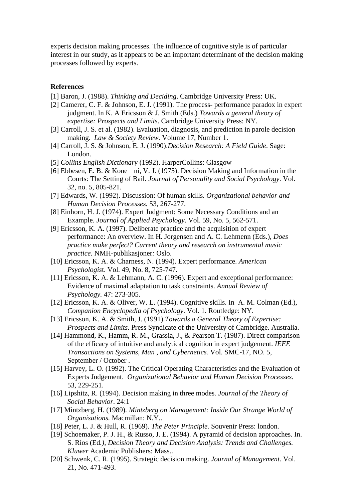experts decision making processes. The influence of cognitive style is of particular interest in our study, as it appears to be an important determinant of the decision making processes followed by experts.

#### **References**

- [1] Baron, J. (1988). *Thinking and Deciding*. Cambridge University Press: UK.
- [2] Camerer, C. F. & Johnson, E. J. (1991). The process- performance paradox in expert judgment. In K. A Ericsson & J. Smith (Eds.) *Towards a general theory of expertise: Prospects and Limits*. Cambridge University Press: NY.
- [3] Carroll, J. S. et al. (1982). Evaluation, diagnosis, and prediction in parole decision making. *Law & Society Review.* Volume 17, Number 1.
- [4] Carroll, J. S. & Johnson, E. J. (1990).*Decision Research: A Field Guide*. Sage: London.
- [5] *Collins English Dictionary* (1992). HarperCollins: Glasgow
- [6] Ebbesen, E. B. & Kone ni, V. J. (1975). Decision Making and Information in the Courts: The Setting of Bail. *Journal of Personality and Social Psychology*. Vol. 32, no. 5, 805-821.
- [7] Edwards, W. (1992). Discussion: Of human skills*. Organizational behavior and Human Decision Processes.* 53, 267-277.
- [8] Einhorn, H. J. (1974). Expert Judgment: Some Necessary Conditions and an Example. *Journal of Applied Psychology*. Vol. 59, No. 5, 562-571.
- [9] Ericsson, K. A. (1997). Deliberate practice and the acquisition of expert performance: An overview. In H. Jorgensen and A. C. Lehmenn (Eds.), *Does practice make perfect? Current theory and research on instrumental music practice.* NMH-publikasjoner*:* Oslo.
- [10] Ericsson, K. A. & Charness, N. (1994). Expert performance. *American Psychologis*t. Vol. 49, No. 8, 725-747.
- [11] Ericsson, K. A. & Lehmann, A. C. (1996). Expert and exceptional performance: Evidence of maximal adaptation to task constraints. *Annual Review of Psychology.* 47: 273-305.
- [12] Ericsson, K. A. & Oliver, W. L. (1994). Cognitive skills. In A. M. Colman (Ed.), *Companion Encyclopedia of Psychology*. Vol. 1. Routledge: NY.
- [13] Ericsson, K. A. & Smith, J. (1991).*Towards a General Theory of Expertise: Prospects and Limits*. Press Syndicate of the University of Cambridge. Australia.
- [14] Hammond, K., Hamm, R. M., Grassia, J., & Pearson T. (1987). Direct comparison of the efficacy of intuitive and analytical cognition in expert judgement. *IEEE Transactions on Systems, Man , and Cybernetics.* Vol. SMC-17, NO. 5, September / October .
- [15] Harvey, L. O. (1992). The Critical Operating Characteristics and the Evaluation of Experts Judgement. *Organizational Behavior and Human Decision Processes.* 53, 229-251.
- [16] Lipshitz, R. (1994). Decision making in three modes*. Journal of the Theory of Social Behavior*. 24:1
- [17] Mintzberg, H. (1989)*. Mintzberg on Management: Inside Our Strange World of Organisations.* Macmillan: N.Y..
- [18] Peter, L. J. & Hull, R. (1969). *The Peter Principle.* Souvenir Press: london.
- [19] Schoemaker, P. J. H., & Russo, J. E. (1994). A pyramid of decision approaches. In. S. Ríos (Ed*.), Decision Theory and Decision Analysis: Trends and Challenges. Kluwer* Academic Publishers: Mass..
- [20] Schwenk, C. R. (1995). Strategic decision making. *Journal of Management*. Vol. 21, No. 471-493.